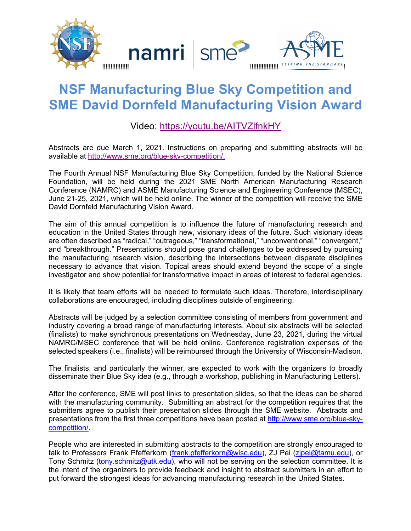

## **NSF Manufacturing Blue Sky Competition and SME David Dornfeld Manufacturing Vision Award**

## Video: https://youtu.be/AITVZlfnkHY

Abstracts are due March 1, 2021. Instructions on preparing and submitting abstracts will be available at http://www.sme.org/blue-sky-competition/.

The Fourth Annual NSF Manufacturing Blue Sky Competition, funded by the National Science Foundation, will be held during the 2021 SME North American Manufacturing Research Conference (NAMRC) and ASME Manufacturing Science and Engineering Conference (MSEC), June 21-25, 2021, which will be held online. The winner of the competition will receive the SME David Dornfeld Manufacturing Vision Award.

The aim of this annual competition is to influence the future of manufacturing research and education in the United States through new, visionary ideas of the future. Such visionary ideas are often described as "radical," "outrageous," "transformational," "unconventional," "convergent," and "breakthrough." Presentations should pose grand challenges to be addressed by pursuing the manufacturing research vision, describing the intersections between disparate disciplines necessary to advance that vision. Topical areas should extend beyond the scope of a single investigator and show potential for transformative impact in areas of interest to federal agencies.

It is likely that team efforts will be needed to formulate such ideas. Therefore, interdisciplinary collaborations are encouraged, including disciplines outside of engineering.

Abstracts will be judged by a selection committee consisting of members from government and industry covering a broad range of manufacturing interests. About six abstracts will be selected (finalists) to make synchronous presentations on Wednesday, June 23, 2021, during the virtual NAMRC/MSEC conference that will be held online. Conference registration expenses of the selected speakers (i.e., finalists) will be reimbursed through the University of Wisconsin-Madison.

The finalists, and particularly the winner, are expected to work with the organizers to broadly disseminate their Blue Sky idea (e.g., through a workshop, publishing in Manufacturing Letters).

After the conference, SME will post links to presentation slides, so that the ideas can be shared with the manufacturing community. Submitting an abstract for the competition requires that the submitters agree to publish their presentation slides through the SME website. Abstracts and presentations from the first three competitions have been posted at http://www.sme.org/blue-skycompetition/.

People who are interested in submitting abstracts to the competition are strongly encouraged to talk to Professors Frank Pfefferkorn (frank.pfefferkorn@wisc.edu), ZJ Pei (zjpei@tamu.edu), or Tony Schmitz (tony.schmitz@utk.edu), who will not be serving on the selection committee. It is the intent of the organizers to provide feedback and insight to abstract submitters in an effort to put forward the strongest ideas for advancing manufacturing research in the United States.